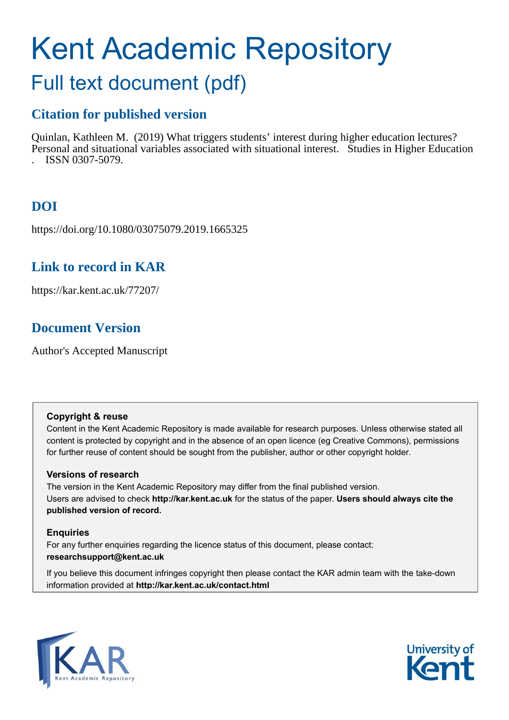# Kent Academic Repository

## Full text document (pdf)

## **Citation for published version**

Quinlan, Kathleen M. (2019) What triggers students' interest during higher education lectures? Personal and situational variables associated with situational interest. Studies in Higher Education . ISSN 0307-5079.

## **DOI**

https://doi.org/10.1080/03075079.2019.1665325

## **Link to record in KAR**

https://kar.kent.ac.uk/77207/

## **Document Version**

Author's Accepted Manuscript

#### **Copyright & reuse**

Content in the Kent Academic Repository is made available for research purposes. Unless otherwise stated all content is protected by copyright and in the absence of an open licence (eg Creative Commons), permissions for further reuse of content should be sought from the publisher, author or other copyright holder.

#### **Versions of research**

The version in the Kent Academic Repository may differ from the final published version. Users are advised to check **http://kar.kent.ac.uk** for the status of the paper. **Users should always cite the published version of record.**

#### **Enquiries**

For any further enquiries regarding the licence status of this document, please contact: **researchsupport@kent.ac.uk**

If you believe this document infringes copyright then please contact the KAR admin team with the take-down information provided at **http://kar.kent.ac.uk/contact.html**



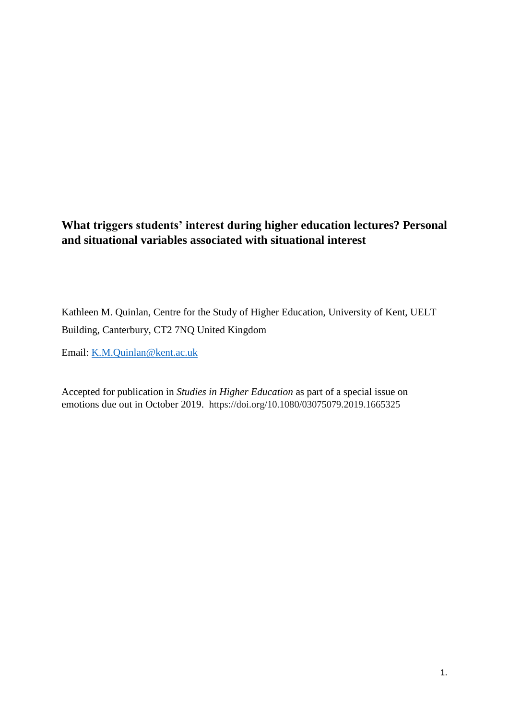### **What triggers students' interest during higher education lectures? Personal and situational variables associated with situational interest**

Kathleen M. Quinlan, Centre for the Study of Higher Education, University of Kent, UELT Building, Canterbury, CT2 7NQ United Kingdom

Email: [K.M.Quinlan@kent.ac.uk](mailto:K.M.Quinlan@kent.ac.uk)

Accepted for publication in *Studies in Higher Education* as part of a special issue on emotions due out in October 2019. https://doi.org/10.1080/03075079.2019.1665325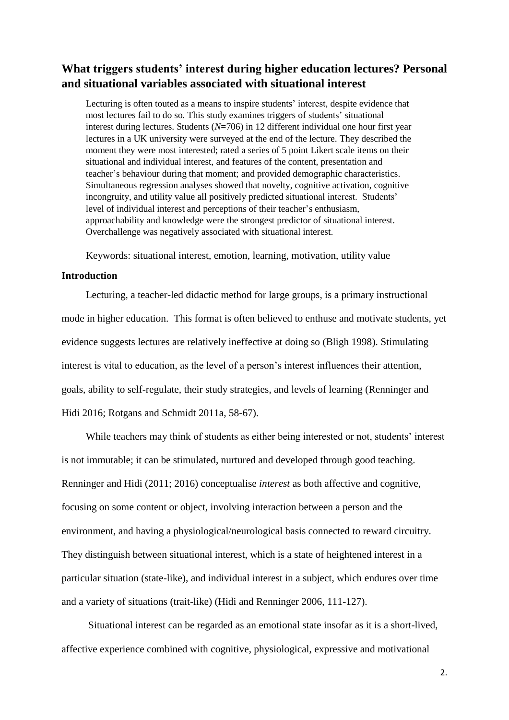#### **What triggers students' interest during higher education lectures? Personal and situational variables associated with situational interest**

Lecturing is often touted as a means to inspire students' interest, despite evidence that most lectures fail to do so. This study examines triggers of students' situational interest during lectures. Students (*N*=706) in 12 different individual one hour first year lectures in a UK university were surveyed at the end of the lecture. They described the moment they were most interested; rated a series of 5 point Likert scale items on their situational and individual interest, and features of the content, presentation and teacher's behaviour during that moment; and provided demographic characteristics. Simultaneous regression analyses showed that novelty, cognitive activation, cognitive incongruity, and utility value all positively predicted situational interest. Students' level of individual interest and perceptions of their teacher's enthusiasm, approachability and knowledge were the strongest predictor of situational interest. Overchallenge was negatively associated with situational interest.

Keywords: situational interest, emotion, learning, motivation, utility value

#### **Introduction**

Lecturing, a teacher-led didactic method for large groups, is a primary instructional mode in higher education. This format is often believed to enthuse and motivate students, yet evidence suggests lectures are relatively ineffective at doing so (Bligh 1998). Stimulating interest is vital to education, as the level of a person's interest influences their attention, goals, ability to self-regulate, their study strategies, and levels of learning (Renninger and Hidi 2016; Rotgans and Schmidt 2011a, 58-67).

While teachers may think of students as either being interested or not, students' interest is not immutable; it can be stimulated, nurtured and developed through good teaching. Renninger and Hidi (2011; 2016) conceptualise *interest* as both affective and cognitive, focusing on some content or object, involving interaction between a person and the environment, and having a physiological/neurological basis connected to reward circuitry. They distinguish between situational interest, which is a state of heightened interest in a particular situation (state-like), and individual interest in a subject, which endures over time and a variety of situations (trait-like) (Hidi and Renninger 2006, 111-127).

Situational interest can be regarded as an emotional state insofar as it is a short-lived, affective experience combined with cognitive, physiological, expressive and motivational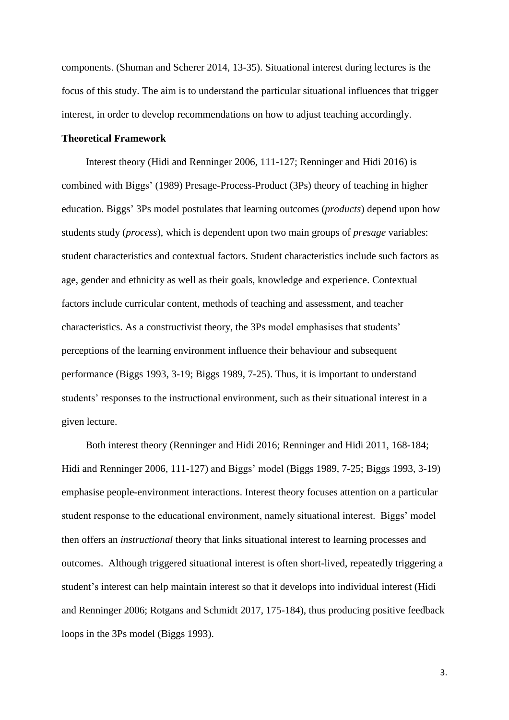components. (Shuman and Scherer 2014, 13-35). Situational interest during lectures is the focus of this study. The aim is to understand the particular situational influences that trigger interest, in order to develop recommendations on how to adjust teaching accordingly.

#### **Theoretical Framework**

Interest theory (Hidi and Renninger 2006, 111-127; Renninger and Hidi 2016) is combined with Biggs' (1989) Presage-Process-Product (3Ps) theory of teaching in higher education. Biggs' 3Ps model postulates that learning outcomes (*products*) depend upon how students study (*process*), which is dependent upon two main groups of *presage* variables: student characteristics and contextual factors. Student characteristics include such factors as age, gender and ethnicity as well as their goals, knowledge and experience. Contextual factors include curricular content, methods of teaching and assessment, and teacher characteristics. As a constructivist theory, the 3Ps model emphasises that students' perceptions of the learning environment influence their behaviour and subsequent performance (Biggs 1993, 3-19; Biggs 1989, 7-25). Thus, it is important to understand students' responses to the instructional environment, such as their situational interest in a given lecture.

Both interest theory (Renninger and Hidi 2016; Renninger and Hidi 2011, 168-184; Hidi and Renninger 2006, 111-127) and Biggs' model (Biggs 1989, 7-25; Biggs 1993, 3-19) emphasise people-environment interactions. Interest theory focuses attention on a particular student response to the educational environment, namely situational interest. Biggs' model then offers an *instructional* theory that links situational interest to learning processes and outcomes. Although triggered situational interest is often short-lived, repeatedly triggering a student's interest can help maintain interest so that it develops into individual interest (Hidi and Renninger 2006; Rotgans and Schmidt 2017, 175-184), thus producing positive feedback loops in the 3Ps model (Biggs 1993).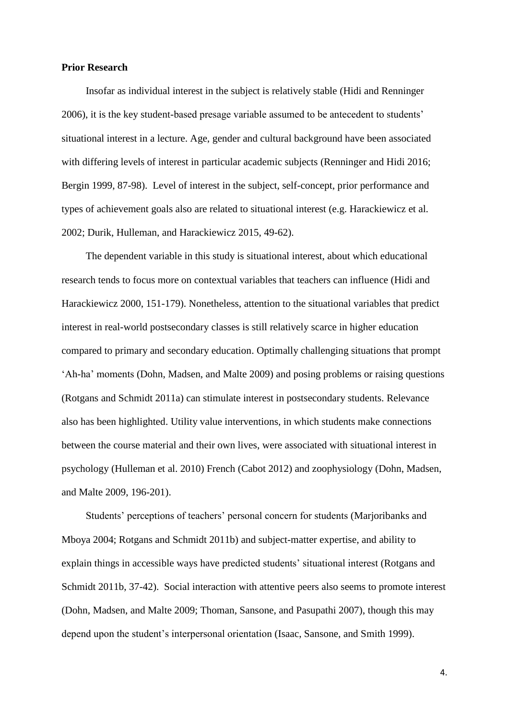#### **Prior Research**

Insofar as individual interest in the subject is relatively stable (Hidi and Renninger 2006), it is the key student-based presage variable assumed to be antecedent to students' situational interest in a lecture. Age, gender and cultural background have been associated with differing levels of interest in particular academic subjects (Renninger and Hidi 2016; Bergin 1999, 87-98). Level of interest in the subject, self-concept, prior performance and types of achievement goals also are related to situational interest (e.g. Harackiewicz et al. 2002; Durik, Hulleman, and Harackiewicz 2015, 49-62).

The dependent variable in this study is situational interest, about which educational research tends to focus more on contextual variables that teachers can influence (Hidi and Harackiewicz 2000, 151-179). Nonetheless, attention to the situational variables that predict interest in real-world postsecondary classes is still relatively scarce in higher education compared to primary and secondary education. Optimally challenging situations that prompt 'Ah-ha' moments (Dohn, Madsen, and Malte 2009) and posing problems or raising questions (Rotgans and Schmidt 2011a) can stimulate interest in postsecondary students. Relevance also has been highlighted. Utility value interventions, in which students make connections between the course material and their own lives, were associated with situational interest in psychology (Hulleman et al. 2010) French (Cabot 2012) and zoophysiology (Dohn, Madsen, and Malte 2009, 196-201).

Students' perceptions of teachers' personal concern for students (Marjoribanks and Mboya 2004; Rotgans and Schmidt 2011b) and subject-matter expertise, and ability to explain things in accessible ways have predicted students' situational interest (Rotgans and Schmidt 2011b, 37-42). Social interaction with attentive peers also seems to promote interest (Dohn, Madsen, and Malte 2009; Thoman, Sansone, and Pasupathi 2007), though this may depend upon the student's interpersonal orientation (Isaac, Sansone, and Smith 1999).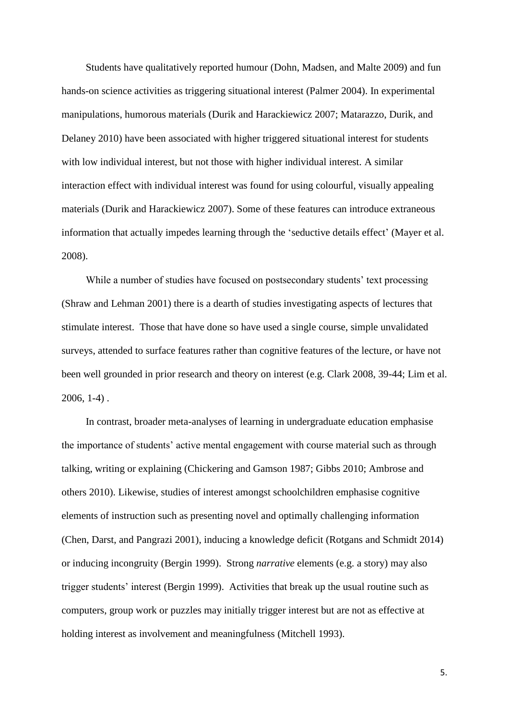Students have qualitatively reported humour (Dohn, Madsen, and Malte 2009) and fun hands-on science activities as triggering situational interest (Palmer 2004). In experimental manipulations, humorous materials (Durik and Harackiewicz 2007; Matarazzo, Durik, and Delaney 2010) have been associated with higher triggered situational interest for students with low individual interest, but not those with higher individual interest. A similar interaction effect with individual interest was found for using colourful, visually appealing materials (Durik and Harackiewicz 2007). Some of these features can introduce extraneous information that actually impedes learning through the 'seductive details effect' (Mayer et al. 2008).

While a number of studies have focused on postsecondary students' text processing (Shraw and Lehman 2001) there is a dearth of studies investigating aspects of lectures that stimulate interest. Those that have done so have used a single course, simple unvalidated surveys, attended to surface features rather than cognitive features of the lecture, or have not been well grounded in prior research and theory on interest (e.g. Clark 2008, 39-44; Lim et al. 2006, 1-4) .

In contrast, broader meta-analyses of learning in undergraduate education emphasise the importance of students' active mental engagement with course material such as through talking, writing or explaining (Chickering and Gamson 1987; Gibbs 2010; Ambrose and others 2010). Likewise, studies of interest amongst schoolchildren emphasise cognitive elements of instruction such as presenting novel and optimally challenging information (Chen, Darst, and Pangrazi 2001), inducing a knowledge deficit (Rotgans and Schmidt 2014) or inducing incongruity (Bergin 1999). Strong *narrative* elements (e.g. a story) may also trigger students' interest (Bergin 1999). Activities that break up the usual routine such as computers, group work or puzzles may initially trigger interest but are not as effective at holding interest as involvement and meaningfulness (Mitchell 1993).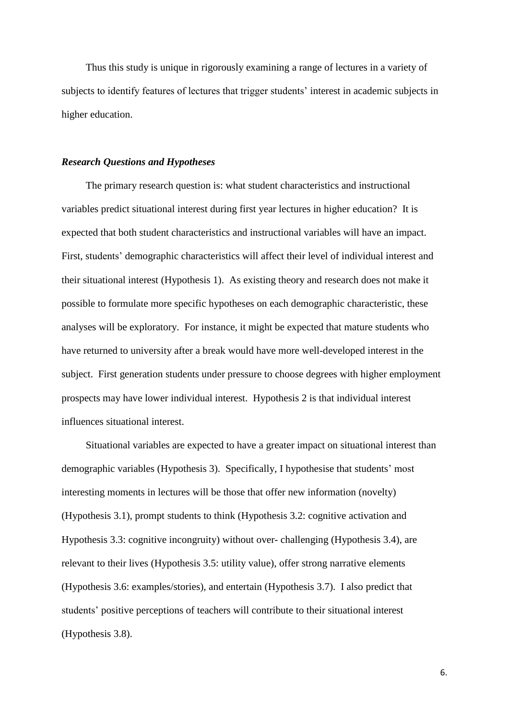Thus this study is unique in rigorously examining a range of lectures in a variety of subjects to identify features of lectures that trigger students' interest in academic subjects in higher education.

#### *Research Questions and Hypotheses*

The primary research question is: what student characteristics and instructional variables predict situational interest during first year lectures in higher education? It is expected that both student characteristics and instructional variables will have an impact. First, students' demographic characteristics will affect their level of individual interest and their situational interest (Hypothesis 1). As existing theory and research does not make it possible to formulate more specific hypotheses on each demographic characteristic, these analyses will be exploratory. For instance, it might be expected that mature students who have returned to university after a break would have more well-developed interest in the subject. First generation students under pressure to choose degrees with higher employment prospects may have lower individual interest. Hypothesis 2 is that individual interest influences situational interest.

Situational variables are expected to have a greater impact on situational interest than demographic variables (Hypothesis 3). Specifically, I hypothesise that students' most interesting moments in lectures will be those that offer new information (novelty) (Hypothesis 3.1), prompt students to think (Hypothesis 3.2: cognitive activation and Hypothesis 3.3: cognitive incongruity) without over- challenging (Hypothesis 3.4), are relevant to their lives (Hypothesis 3.5: utility value), offer strong narrative elements (Hypothesis 3.6: examples/stories), and entertain (Hypothesis 3.7). I also predict that students' positive perceptions of teachers will contribute to their situational interest (Hypothesis 3.8).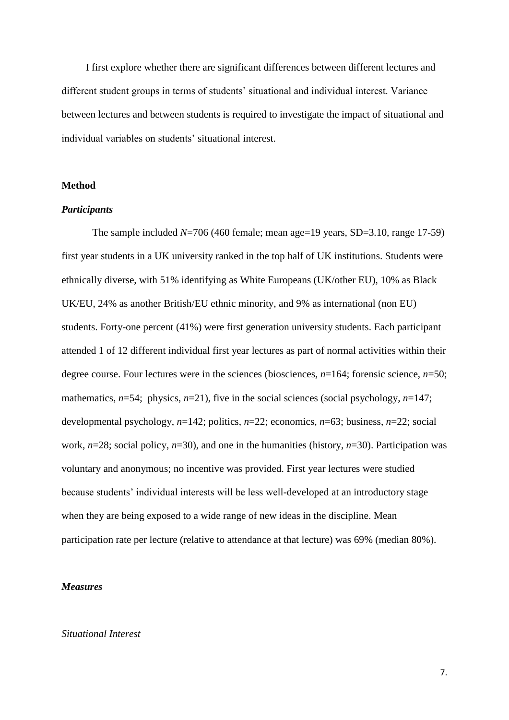I first explore whether there are significant differences between different lectures and different student groups in terms of students' situational and individual interest. Variance between lectures and between students is required to investigate the impact of situational and individual variables on students' situational interest.

#### **Method**

#### *Participants*

The sample included  $N=706$  (460 female; mean age=19 years, SD=3.10, range 17-59) first year students in a UK university ranked in the top half of UK institutions. Students were ethnically diverse, with 51% identifying as White Europeans (UK/other EU), 10% as Black UK/EU, 24% as another British/EU ethnic minority, and 9% as international (non EU) students. Forty-one percent (41%) were first generation university students. Each participant attended 1 of 12 different individual first year lectures as part of normal activities within their degree course. Four lectures were in the sciences (biosciences, *n*=164; forensic science, *n*=50; mathematics,  $n=54$ ; physics,  $n=21$ ), five in the social sciences (social psychology,  $n=147$ ; developmental psychology, *n*=142; politics, *n*=22; economics, *n*=63; business, *n*=22; social work, *n*=28; social policy, *n*=30), and one in the humanities (history, *n*=30). Participation was voluntary and anonymous; no incentive was provided. First year lectures were studied because students' individual interests will be less well-developed at an introductory stage when they are being exposed to a wide range of new ideas in the discipline. Mean participation rate per lecture (relative to attendance at that lecture) was 69% (median 80%).

#### *Measures*

#### *Situational Interest*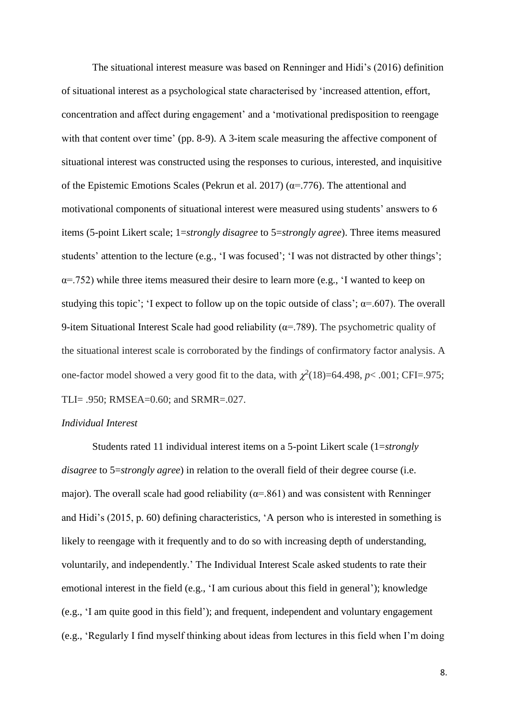The situational interest measure was based on Renninger and Hidi's (2016) definition of situational interest as a psychological state characterised by 'increased attention, effort, concentration and affect during engagement' and a 'motivational predisposition to reengage with that content over time' (pp. 8-9). A 3-item scale measuring the affective component of situational interest was constructed using the responses to curious, interested, and inquisitive of the Epistemic Emotions Scales (Pekrun et al. 2017) ( $\alpha$ =.776). The attentional and motivational components of situational interest were measured using students' answers to 6 items (5-point Likert scale; 1=*strongly disagree* to 5=*strongly agree*). Three items measured students' attention to the lecture (e.g., 'I was focused'; 'I was not distracted by other things';  $\alpha$ =.752) while three items measured their desire to learn more (e.g., 'I wanted to keep on studying this topic'; 'I expect to follow up on the topic outside of class';  $\alpha$ =.607). The overall 9-item Situational Interest Scale had good reliability ( $\alpha$ =.789). The psychometric quality of the situational interest scale is corroborated by the findings of confirmatory factor analysis. A one-factor model showed a very good fit to the data, with  $\chi^2(18)=64.498$ ,  $p < .001$ ; CFI=.975; TLI= .950; RMSEA=0.60; and SRMR=.027.

#### *Individual Interest*

Students rated 11 individual interest items on a 5-point Likert scale (1=*strongly disagree* to 5=*strongly agree*) in relation to the overall field of their degree course (i.e. major). The overall scale had good reliability ( $\alpha$ =.861) and was consistent with Renninger and Hidi's (2015, p. 60) defining characteristics, 'A person who is interested in something is likely to reengage with it frequently and to do so with increasing depth of understanding, voluntarily, and independently.' The Individual Interest Scale asked students to rate their emotional interest in the field (e.g., 'I am curious about this field in general'); knowledge (e.g., 'I am quite good in this field'); and frequent, independent and voluntary engagement (e.g., 'Regularly I find myself thinking about ideas from lectures in this field when I'm doing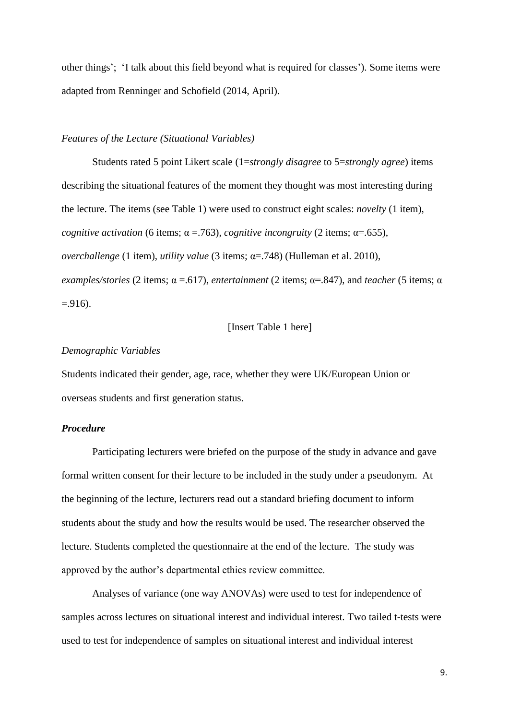other things'; 'I talk about this field beyond what is required for classes'). Some items were adapted from Renninger and Schofield (2014, April).

#### *Features of the Lecture (Situational Variables)*

Students rated 5 point Likert scale (1=*strongly disagree* to 5=*strongly agree*) items describing the situational features of the moment they thought was most interesting during the lecture. The items (see Table 1) were used to construct eight scales: *novelty* (1 item), *cognitive activation* (6 items;  $\alpha$  = .763), *cognitive incongruity* (2 items;  $\alpha$ = .655), *overchallenge* (1 item), *utility value* (3 items; α=.748) (Hulleman et al. 2010), *examples/stories* (2 items;  $\alpha = .617$ ), *entertainment* (2 items;  $\alpha = .847$ ), and *teacher* (5 items;  $\alpha$  $= .916$ ).

#### [Insert Table 1 here]

#### *Demographic Variables*

Students indicated their gender, age, race, whether they were UK/European Union or overseas students and first generation status.

#### *Procedure*

Participating lecturers were briefed on the purpose of the study in advance and gave formal written consent for their lecture to be included in the study under a pseudonym. At the beginning of the lecture, lecturers read out a standard briefing document to inform students about the study and how the results would be used. The researcher observed the lecture. Students completed the questionnaire at the end of the lecture. The study was approved by the author's departmental ethics review committee.

Analyses of variance (one way ANOVAs) were used to test for independence of samples across lectures on situational interest and individual interest. Two tailed t-tests were used to test for independence of samples on situational interest and individual interest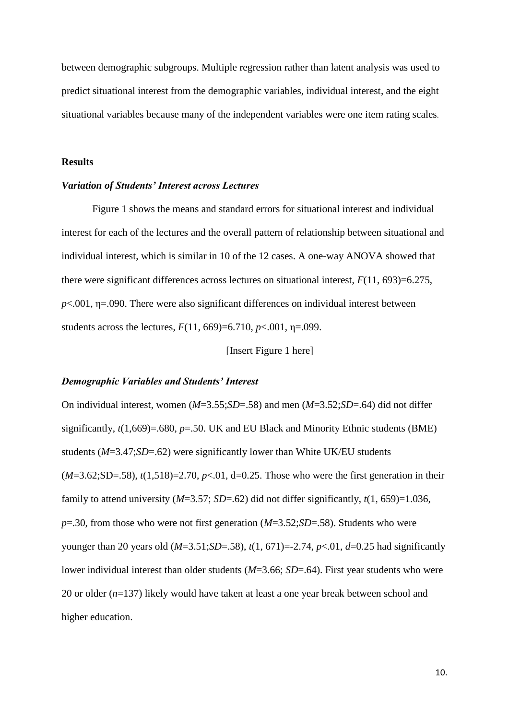between demographic subgroups. Multiple regression rather than latent analysis was used to predict situational interest from the demographic variables, individual interest, and the eight situational variables because many of the independent variables were one item rating scales.

#### **Results**

#### *Variation of Students' Interest across Lectures*

Figure 1 shows the means and standard errors for situational interest and individual interest for each of the lectures and the overall pattern of relationship between situational and individual interest, which is similar in 10 of the 12 cases. A one-way ANOVA showed that there were significant differences across lectures on situational interest, *F*(11, 693)=6.275,  $p<.001$ ,  $\eta$ =.090. There were also significant differences on individual interest between students across the lectures,  $F(11, 669) = 6.710$ ,  $p < .001$ ,  $p = .099$ .

[Insert Figure 1 here]

#### *Demographic Variables and Students' Interest*

On individual interest, women (*M*=3.55;*SD*=.58) and men (*M*=3.52;*SD*=.64) did not differ significantly,  $t(1,669) = .680$ ,  $p = .50$ . UK and EU Black and Minority Ethnic students (BME) students (*M*=3.47;*SD*=.62) were significantly lower than White UK/EU students  $(M=3.62; SD=0.58)$ ,  $t(1,518)=2.70$ ,  $p<0.01$ ,  $d=0.25$ . Those who were the first generation in their family to attend university  $(M=3.57; SD=.62)$  did not differ significantly,  $t(1, 659)=1.036$ , *p*=.30, from those who were not first generation (*M*=3.52;*SD*=.58). Students who were younger than 20 years old (*M*=3.51;*SD*=.58), *t*(1, 671)=-2.74, *p*<.01, *d*=0.25 had significantly lower individual interest than older students (*M*=3.66; *SD*=.64). First year students who were 20 or older (*n*=137) likely would have taken at least a one year break between school and higher education.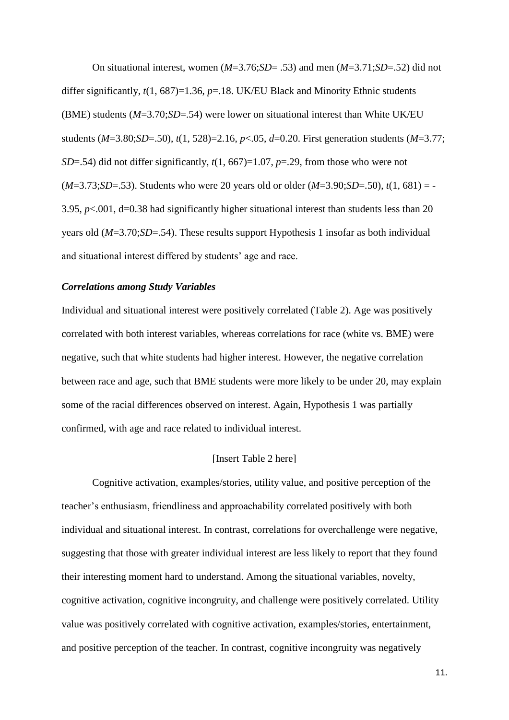On situational interest, women (*M*=3.76;*SD*= .53) and men (*M*=3.71;*SD*=.52) did not differ significantly, *t*(1, 687)=1.36, *p*=.18. UK/EU Black and Minority Ethnic students (BME) students (*M*=3.70;*SD*=.54) were lower on situational interest than White UK/EU students (*M*=3.80;*SD*=.50), *t*(1, 528)=2.16, *p*<.05, *d*=0.20. First generation students (*M*=3.77; *SD*=.54) did not differ significantly, *t*(1, 667)=1.07, *p*=.29, from those who were not  $(M=3.73; SD=0.53)$ . Students who were 20 years old or older  $(M=3.90; SD=0.50)$ ,  $t(1, 681) = -100$ 3.95,  $p<.001$ ,  $d=0.38$  had significantly higher situational interest than students less than 20 years old (*M*=3.70;*SD*=.54). These results support Hypothesis 1 insofar as both individual and situational interest differed by students' age and race.

#### *Correlations among Study Variables*

Individual and situational interest were positively correlated (Table 2). Age was positively correlated with both interest variables, whereas correlations for race (white vs. BME) were negative, such that white students had higher interest. However, the negative correlation between race and age, such that BME students were more likely to be under 20, may explain some of the racial differences observed on interest. Again, Hypothesis 1 was partially confirmed, with age and race related to individual interest.

#### [Insert Table 2 here]

Cognitive activation, examples/stories, utility value, and positive perception of the teacher's enthusiasm, friendliness and approachability correlated positively with both individual and situational interest. In contrast, correlations for overchallenge were negative, suggesting that those with greater individual interest are less likely to report that they found their interesting moment hard to understand. Among the situational variables, novelty, cognitive activation, cognitive incongruity, and challenge were positively correlated. Utility value was positively correlated with cognitive activation, examples/stories, entertainment, and positive perception of the teacher. In contrast, cognitive incongruity was negatively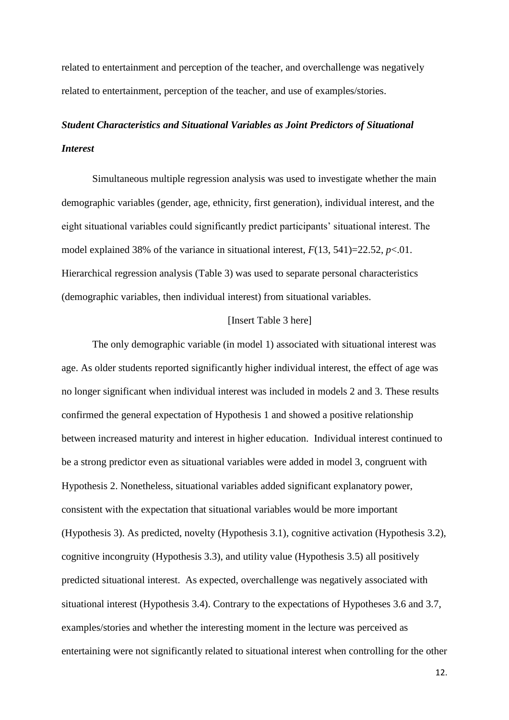related to entertainment and perception of the teacher, and overchallenge was negatively related to entertainment, perception of the teacher, and use of examples/stories.

## *Student Characteristics and Situational Variables as Joint Predictors of Situational Interest*

Simultaneous multiple regression analysis was used to investigate whether the main demographic variables (gender, age, ethnicity, first generation), individual interest, and the eight situational variables could significantly predict participants' situational interest. The model explained 38% of the variance in situational interest,  $F(13, 541)=22.52$ ,  $p<.01$ . Hierarchical regression analysis (Table 3) was used to separate personal characteristics (demographic variables, then individual interest) from situational variables.

#### [Insert Table 3 here]

The only demographic variable (in model 1) associated with situational interest was age. As older students reported significantly higher individual interest, the effect of age was no longer significant when individual interest was included in models 2 and 3. These results confirmed the general expectation of Hypothesis 1 and showed a positive relationship between increased maturity and interest in higher education. Individual interest continued to be a strong predictor even as situational variables were added in model 3, congruent with Hypothesis 2. Nonetheless, situational variables added significant explanatory power, consistent with the expectation that situational variables would be more important (Hypothesis 3). As predicted, novelty (Hypothesis 3.1), cognitive activation (Hypothesis 3.2), cognitive incongruity (Hypothesis 3.3), and utility value (Hypothesis 3.5) all positively predicted situational interest. As expected, overchallenge was negatively associated with situational interest (Hypothesis 3.4). Contrary to the expectations of Hypotheses 3.6 and 3.7, examples/stories and whether the interesting moment in the lecture was perceived as entertaining were not significantly related to situational interest when controlling for the other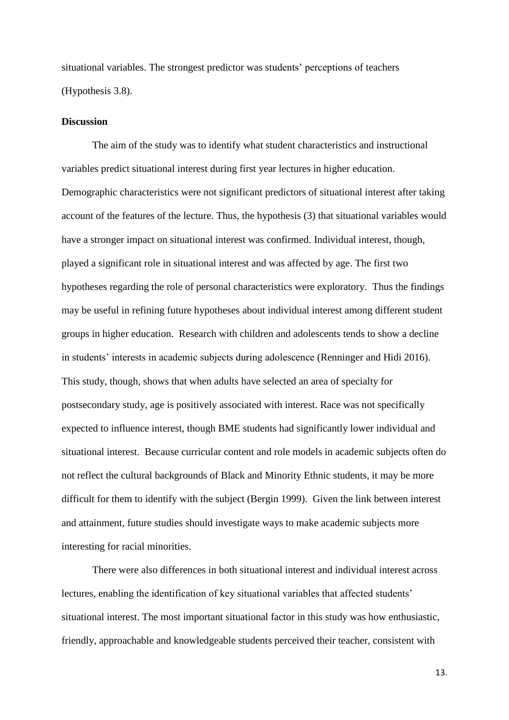situational variables. The strongest predictor was students' perceptions of teachers (Hypothesis 3.8).

#### **Discussion**

The aim of the study was to identify what student characteristics and instructional variables predict situational interest during first year lectures in higher education. Demographic characteristics were not significant predictors of situational interest after taking account of the features of the lecture. Thus, the hypothesis (3) that situational variables would have a stronger impact on situational interest was confirmed. Individual interest, though, played a significant role in situational interest and was affected by age. The first two hypotheses regarding the role of personal characteristics were exploratory. Thus the findings may be useful in refining future hypotheses about individual interest among different student groups in higher education. Research with children and adolescents tends to show a decline in students' interests in academic subjects during adolescence (Renninger and Hidi 2016). This study, though, shows that when adults have selected an area of specialty for postsecondary study, age is positively associated with interest. Race was not specifically expected to influence interest, though BME students had significantly lower individual and situational interest. Because curricular content and role models in academic subjects often do not reflect the cultural backgrounds of Black and Minority Ethnic students, it may be more difficult for them to identify with the subject (Bergin 1999). Given the link between interest and attainment, future studies should investigate ways to make academic subjects more interesting for racial minorities.

There were also differences in both situational interest and individual interest across lectures, enabling the identification of key situational variables that affected students' situational interest. The most important situational factor in this study was how enthusiastic, friendly, approachable and knowledgeable students perceived their teacher, consistent with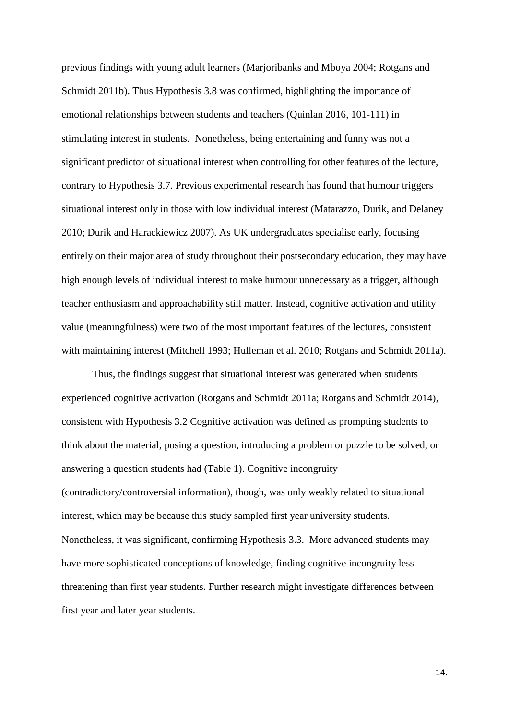previous findings with young adult learners (Marjoribanks and Mboya 2004; Rotgans and Schmidt 2011b). Thus Hypothesis 3.8 was confirmed, highlighting the importance of emotional relationships between students and teachers (Quinlan 2016, 101-111) in stimulating interest in students. Nonetheless, being entertaining and funny was not a significant predictor of situational interest when controlling for other features of the lecture, contrary to Hypothesis 3.7. Previous experimental research has found that humour triggers situational interest only in those with low individual interest (Matarazzo, Durik, and Delaney 2010; Durik and Harackiewicz 2007). As UK undergraduates specialise early, focusing entirely on their major area of study throughout their postsecondary education, they may have high enough levels of individual interest to make humour unnecessary as a trigger, although teacher enthusiasm and approachability still matter. Instead, cognitive activation and utility value (meaningfulness) were two of the most important features of the lectures, consistent with maintaining interest (Mitchell 1993; Hulleman et al. 2010; Rotgans and Schmidt 2011a).

Thus, the findings suggest that situational interest was generated when students experienced cognitive activation (Rotgans and Schmidt 2011a; Rotgans and Schmidt 2014), consistent with Hypothesis 3.2 Cognitive activation was defined as prompting students to think about the material, posing a question, introducing a problem or puzzle to be solved, or answering a question students had (Table 1). Cognitive incongruity (contradictory/controversial information), though, was only weakly related to situational interest, which may be because this study sampled first year university students. Nonetheless, it was significant, confirming Hypothesis 3.3. More advanced students may have more sophisticated conceptions of knowledge, finding cognitive incongruity less threatening than first year students. Further research might investigate differences between first year and later year students.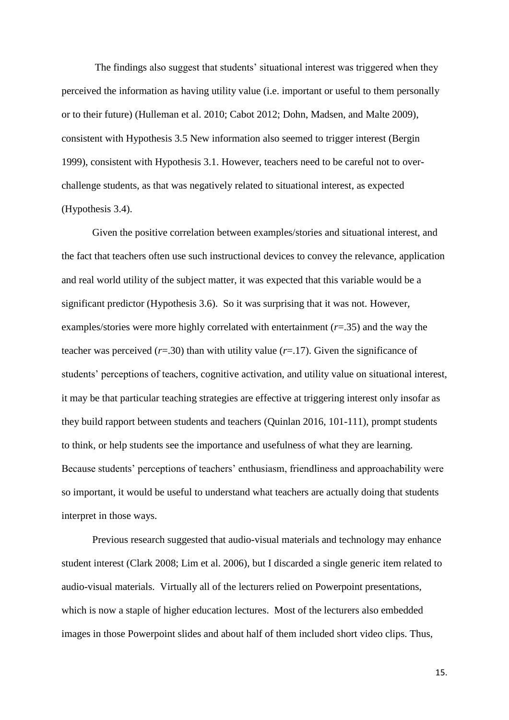The findings also suggest that students' situational interest was triggered when they perceived the information as having utility value (i.e. important or useful to them personally or to their future) (Hulleman et al. 2010; Cabot 2012; Dohn, Madsen, and Malte 2009), consistent with Hypothesis 3.5 New information also seemed to trigger interest (Bergin 1999), consistent with Hypothesis 3.1. However, teachers need to be careful not to overchallenge students, as that was negatively related to situational interest, as expected (Hypothesis 3.4).

Given the positive correlation between examples/stories and situational interest, and the fact that teachers often use such instructional devices to convey the relevance, application and real world utility of the subject matter, it was expected that this variable would be a significant predictor (Hypothesis 3.6). So it was surprising that it was not. However, examples/stories were more highly correlated with entertainment (*r*=.35) and the way the teacher was perceived  $(r=0.30)$  than with utility value  $(r=0.17)$ . Given the significance of students' perceptions of teachers, cognitive activation, and utility value on situational interest, it may be that particular teaching strategies are effective at triggering interest only insofar as they build rapport between students and teachers (Quinlan 2016, 101-111), prompt students to think, or help students see the importance and usefulness of what they are learning. Because students' perceptions of teachers' enthusiasm, friendliness and approachability were so important, it would be useful to understand what teachers are actually doing that students interpret in those ways.

Previous research suggested that audio-visual materials and technology may enhance student interest (Clark 2008; Lim et al. 2006), but I discarded a single generic item related to audio-visual materials. Virtually all of the lecturers relied on Powerpoint presentations, which is now a staple of higher education lectures. Most of the lecturers also embedded images in those Powerpoint slides and about half of them included short video clips. Thus,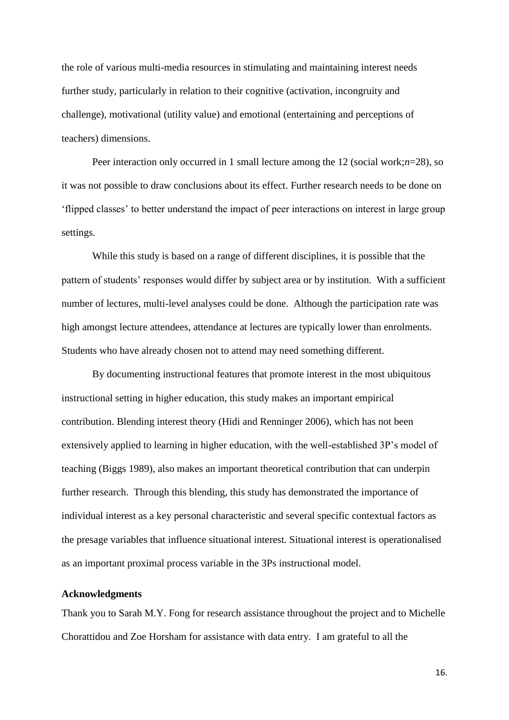the role of various multi-media resources in stimulating and maintaining interest needs further study, particularly in relation to their cognitive (activation, incongruity and challenge), motivational (utility value) and emotional (entertaining and perceptions of teachers) dimensions.

Peer interaction only occurred in 1 small lecture among the 12 (social work;*n*=28), so it was not possible to draw conclusions about its effect. Further research needs to be done on 'flipped classes' to better understand the impact of peer interactions on interest in large group settings.

While this study is based on a range of different disciplines, it is possible that the pattern of students' responses would differ by subject area or by institution. With a sufficient number of lectures, multi-level analyses could be done. Although the participation rate was high amongst lecture attendees, attendance at lectures are typically lower than enrolments. Students who have already chosen not to attend may need something different.

By documenting instructional features that promote interest in the most ubiquitous instructional setting in higher education, this study makes an important empirical contribution. Blending interest theory (Hidi and Renninger 2006), which has not been extensively applied to learning in higher education, with the well-established 3P's model of teaching (Biggs 1989), also makes an important theoretical contribution that can underpin further research. Through this blending, this study has demonstrated the importance of individual interest as a key personal characteristic and several specific contextual factors as the presage variables that influence situational interest. Situational interest is operationalised as an important proximal process variable in the 3Ps instructional model.

#### **Acknowledgments**

Thank you to Sarah M.Y. Fong for research assistance throughout the project and to Michelle Chorattidou and Zoe Horsham for assistance with data entry. I am grateful to all the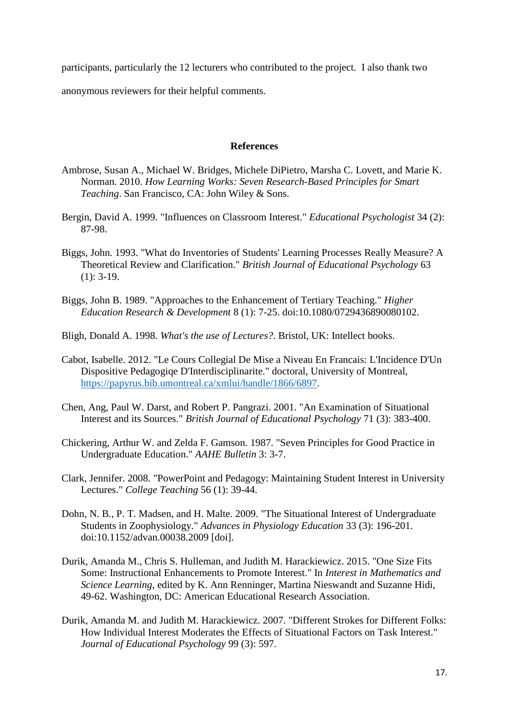participants, particularly the 12 lecturers who contributed to the project. I also thank two

anonymous reviewers for their helpful comments.

#### **References**

- Ambrose, Susan A., Michael W. Bridges, Michele DiPietro, Marsha C. Lovett, and Marie K. Norman. 2010. *How Learning Works: Seven Research-Based Principles for Smart Teaching*. San Francisco, CA: John Wiley & Sons.
- Bergin, David A. 1999. "Influences on Classroom Interest." *Educational Psychologist* 34 (2): 87-98.
- Biggs, John. 1993. "What do Inventories of Students' Learning Processes Really Measure? A Theoretical Review and Clarification." *British Journal of Educational Psychology* 63 (1): 3-19.
- Biggs, John B. 1989. "Approaches to the Enhancement of Tertiary Teaching." *Higher Education Research & Development* 8 (1): 7-25. doi:10.1080/0729436890080102.
- Bligh, Donald A. 1998. *What's the use of Lectures?*. Bristol, UK: Intellect books.
- Cabot, Isabelle. 2012. "Le Cours Collegial De Mise a Niveau En Francais: L'Incidence D'Un Dispositive Pedagogiqe D'Interdisciplinarite." doctoral, University of Montreal, [https://papyrus.bib.umontreal.ca/xmlui/handle/1866/6897.](https://papyrus.bib.umontreal.ca/xmlui/handle/1866/6897)
- Chen, Ang, Paul W. Darst, and Robert P. Pangrazi. 2001. "An Examination of Situational Interest and its Sources." *British Journal of Educational Psychology* 71 (3): 383-400.
- Chickering, Arthur W. and Zelda F. Gamson. 1987. "Seven Principles for Good Practice in Undergraduate Education." *AAHE Bulletin* 3: 3-7.
- Clark, Jennifer. 2008. "PowerPoint and Pedagogy: Maintaining Student Interest in University Lectures." *College Teaching* 56 (1): 39-44.
- Dohn, N. B., P. T. Madsen, and H. Malte. 2009. "The Situational Interest of Undergraduate Students in Zoophysiology." *Advances in Physiology Education* 33 (3): 196-201. doi:10.1152/advan.00038.2009 [doi].
- Durik, Amanda M., Chris S. Hulleman, and Judith M. Harackiewicz. 2015. "One Size Fits Some: Instructional Enhancements to Promote Interest." In *Interest in Mathematics and Science Learning*, edited by K. Ann Renninger, Martina Nieswandt and Suzanne Hidi, 49-62. Washington, DC: American Educational Research Association.
- Durik, Amanda M. and Judith M. Harackiewicz. 2007. "Different Strokes for Different Folks: How Individual Interest Moderates the Effects of Situational Factors on Task Interest." *Journal of Educational Psychology* 99 (3): 597.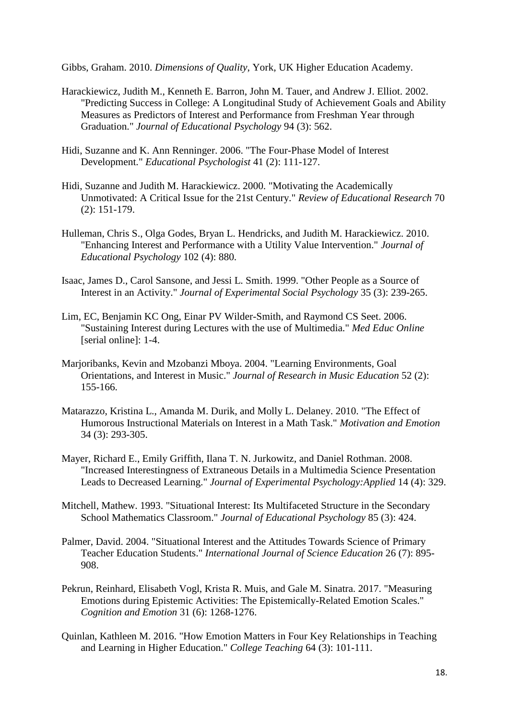Gibbs, Graham. 2010. *Dimensions of Quality*, York, UK Higher Education Academy.

- Harackiewicz, Judith M., Kenneth E. Barron, John M. Tauer, and Andrew J. Elliot. 2002. "Predicting Success in College: A Longitudinal Study of Achievement Goals and Ability Measures as Predictors of Interest and Performance from Freshman Year through Graduation." *Journal of Educational Psychology* 94 (3): 562.
- Hidi, Suzanne and K. Ann Renninger. 2006. "The Four-Phase Model of Interest Development." *Educational Psychologist* 41 (2): 111-127.
- Hidi, Suzanne and Judith M. Harackiewicz. 2000. "Motivating the Academically Unmotivated: A Critical Issue for the 21st Century." *Review of Educational Research* 70 (2): 151-179.
- Hulleman, Chris S., Olga Godes, Bryan L. Hendricks, and Judith M. Harackiewicz. 2010. "Enhancing Interest and Performance with a Utility Value Intervention." *Journal of Educational Psychology* 102 (4): 880.
- Isaac, James D., Carol Sansone, and Jessi L. Smith. 1999. "Other People as a Source of Interest in an Activity." *Journal of Experimental Social Psychology* 35 (3): 239-265.
- Lim, EC, Benjamin KC Ong, Einar PV Wilder-Smith, and Raymond CS Seet. 2006. "Sustaining Interest during Lectures with the use of Multimedia." *Med Educ Online* [serial online]: 1-4.
- Marjoribanks, Kevin and Mzobanzi Mboya. 2004. "Learning Environments, Goal Orientations, and Interest in Music." *Journal of Research in Music Education* 52 (2): 155-166.
- Matarazzo, Kristina L., Amanda M. Durik, and Molly L. Delaney. 2010. "The Effect of Humorous Instructional Materials on Interest in a Math Task." *Motivation and Emotion* 34 (3): 293-305.
- Mayer, Richard E., Emily Griffith, Ilana T. N. Jurkowitz, and Daniel Rothman. 2008. "Increased Interestingness of Extraneous Details in a Multimedia Science Presentation Leads to Decreased Learning." *Journal of Experimental Psychology:Applied* 14 (4): 329.
- Mitchell, Mathew. 1993. "Situational Interest: Its Multifaceted Structure in the Secondary School Mathematics Classroom." *Journal of Educational Psychology* 85 (3): 424.
- Palmer, David. 2004. "Situational Interest and the Attitudes Towards Science of Primary Teacher Education Students." *International Journal of Science Education* 26 (7): 895- 908.
- Pekrun, Reinhard, Elisabeth Vogl, Krista R. Muis, and Gale M. Sinatra. 2017. "Measuring Emotions during Epistemic Activities: The Epistemically-Related Emotion Scales." *Cognition and Emotion* 31 (6): 1268-1276.
- Quinlan, Kathleen M. 2016. "How Emotion Matters in Four Key Relationships in Teaching and Learning in Higher Education." *College Teaching* 64 (3): 101-111.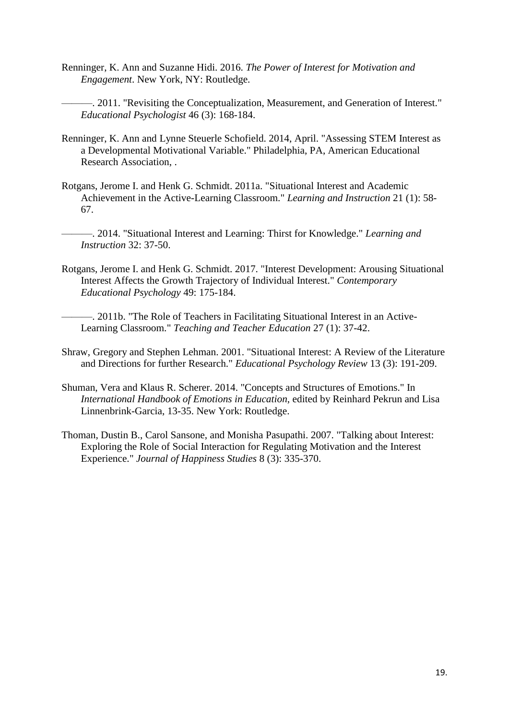- Renninger, K. Ann and Suzanne Hidi. 2016. *The Power of Interest for Motivation and Engagement*. New York, NY: Routledge.
	- ———. 2011. "Revisiting the Conceptualization, Measurement, and Generation of Interest." *Educational Psychologist* 46 (3): 168-184.
- Renninger, K. Ann and Lynne Steuerle Schofield. 2014, April. "Assessing STEM Interest as a Developmental Motivational Variable." Philadelphia, PA, American Educational Research Association, .
- Rotgans, Jerome I. and Henk G. Schmidt. 2011a. "Situational Interest and Academic Achievement in the Active-Learning Classroom." *Learning and Instruction* 21 (1): 58- 67.
- ———. 2014. "Situational Interest and Learning: Thirst for Knowledge." *Learning and Instruction* 32: 37-50.
- Rotgans, Jerome I. and Henk G. Schmidt. 2017. "Interest Development: Arousing Situational Interest Affects the Growth Trajectory of Individual Interest." *Contemporary Educational Psychology* 49: 175-184.
	- ———. 2011b. "The Role of Teachers in Facilitating Situational Interest in an Active-Learning Classroom." *Teaching and Teacher Education* 27 (1): 37-42.
- Shraw, Gregory and Stephen Lehman. 2001. "Situational Interest: A Review of the Literature and Directions for further Research." *Educational Psychology Review* 13 (3): 191-209.
- Shuman, Vera and Klaus R. Scherer. 2014. "Concepts and Structures of Emotions." In *International Handbook of Emotions in Education*, edited by Reinhard Pekrun and Lisa Linnenbrink-Garcia, 13-35. New York: Routledge.
- Thoman, Dustin B., Carol Sansone, and Monisha Pasupathi. 2007. "Talking about Interest: Exploring the Role of Social Interaction for Regulating Motivation and the Interest Experience." *Journal of Happiness Studies* 8 (3): 335-370.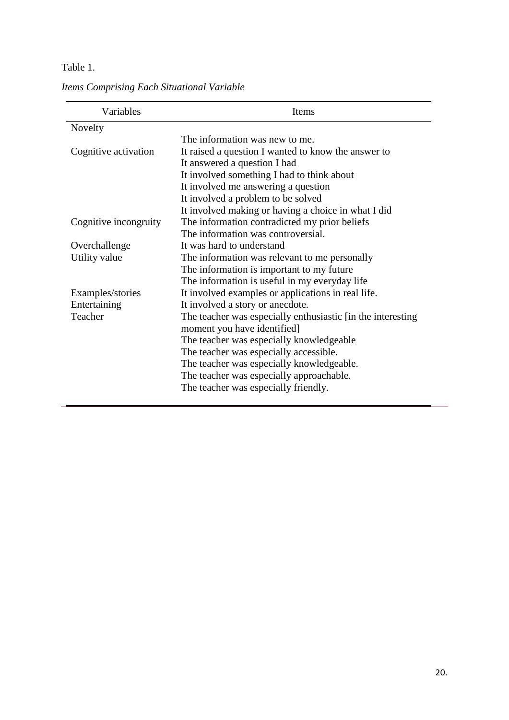#### Table 1.

| Variables             | Items                                                        |  |  |  |  |  |  |
|-----------------------|--------------------------------------------------------------|--|--|--|--|--|--|
| Novelty               |                                                              |  |  |  |  |  |  |
|                       | The information was new to me.                               |  |  |  |  |  |  |
| Cognitive activation  | It raised a question I wanted to know the answer to          |  |  |  |  |  |  |
|                       | It answered a question I had                                 |  |  |  |  |  |  |
|                       | It involved something I had to think about                   |  |  |  |  |  |  |
|                       | It involved me answering a question                          |  |  |  |  |  |  |
|                       | It involved a problem to be solved                           |  |  |  |  |  |  |
|                       | It involved making or having a choice in what I did          |  |  |  |  |  |  |
| Cognitive incongruity | The information contradicted my prior beliefs                |  |  |  |  |  |  |
|                       | The information was controversial.                           |  |  |  |  |  |  |
| Overchallenge         | It was hard to understand                                    |  |  |  |  |  |  |
| Utility value         | The information was relevant to me personally                |  |  |  |  |  |  |
|                       | The information is important to my future                    |  |  |  |  |  |  |
|                       | The information is useful in my everyday life                |  |  |  |  |  |  |
| Examples/stories      | It involved examples or applications in real life.           |  |  |  |  |  |  |
| Entertaining          | It involved a story or anecdote.                             |  |  |  |  |  |  |
| Teacher               | The teacher was especially enthusiastic [in the interesting] |  |  |  |  |  |  |
|                       | moment you have identified]                                  |  |  |  |  |  |  |
|                       | The teacher was especially knowledgeable                     |  |  |  |  |  |  |
|                       | The teacher was especially accessible.                       |  |  |  |  |  |  |
|                       | The teacher was especially knowledgeable.                    |  |  |  |  |  |  |
|                       | The teacher was especially approachable.                     |  |  |  |  |  |  |
|                       | The teacher was especially friendly.                         |  |  |  |  |  |  |

*Items Comprising Each Situational Variable*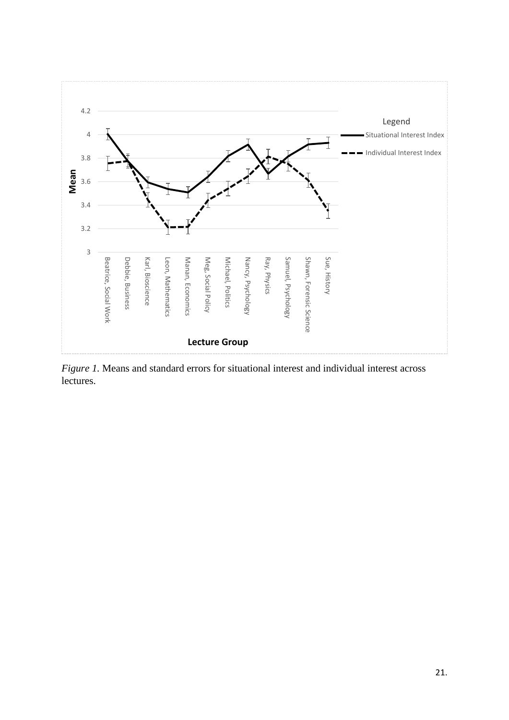

*Figure 1.* Means and standard errors for situational interest and individual interest across lectures.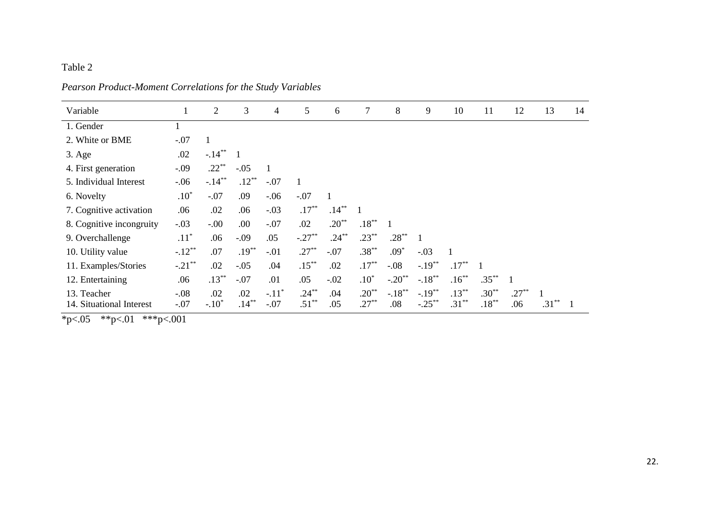## Table 2

| Variable                 |           | 2            | 3              | $\overline{\mathcal{A}}$ | 5            | 6        | 7            | 8         | 9         | 10       | 11       | 12       | 13        | 14 |
|--------------------------|-----------|--------------|----------------|--------------------------|--------------|----------|--------------|-----------|-----------|----------|----------|----------|-----------|----|
| 1. Gender                |           |              |                |                          |              |          |              |           |           |          |          |          |           |    |
| 2. White or BME          | $-.07$    | $\mathbf{1}$ |                |                          |              |          |              |           |           |          |          |          |           |    |
| $3. \text{Age}$          | .02       | $-.14***$    | $\blacksquare$ |                          |              |          |              |           |           |          |          |          |           |    |
| 4. First generation      | $-.09$    | $.22***$     | $-.05$         |                          |              |          |              |           |           |          |          |          |           |    |
| 5. Individual Interest   | $-.06$    | $-.14***$    | $.12***$       | $-.07$                   | $\mathbf{1}$ |          |              |           |           |          |          |          |           |    |
| 6. Novelty               | $.10*$    | $-.07$       | .09            | $-.06$                   | $-.07$       |          |              |           |           |          |          |          |           |    |
| 7. Cognitive activation  | .06       | .02          | .06            | $-.03$                   | $.17***$     | $.14***$ | $\mathbf{1}$ |           |           |          |          |          |           |    |
| 8. Cognitive incongruity | $-.03$    | $-.00$       | .00            | $-.07$                   | .02          | $.20**$  | $.18***$     |           |           |          |          |          |           |    |
| 9. Overchallenge         | $.11^*$   | .06          | $-.09$         | .05                      | $-.27**$     | $.24***$ | $.23***$     | $.28***$  |           |          |          |          |           |    |
| 10. Utility value        | $-.12**$  | .07          | $.19***$       | $-.01$                   | $.27***$     | $-.07$   | $.38***$     | $.09*$    | $-.03$    |          |          |          |           |    |
| 11. Examples/Stories     | $-.21$ ** | .02          | $-.05$         | .04                      | $.15***$     | .02      | $.17***$     | $-.08$    | $-.19***$ | $.17***$ |          |          |           |    |
| 12. Entertaining         | .06       | $.13***$     | $-.07$         | .01                      | .05          | $-.02$   | $.10*$       | $-.20**$  | $-.18***$ | $.16***$ | $.35***$ |          |           |    |
| 13. Teacher              | $-.08$    | .02          | .02            | $-.11*$                  | $.24***$     | .04      | $.20**$      | $-.18***$ | $-.19***$ | $.13***$ | $.30**$  | $.27***$ |           |    |
| 14. Situational Interest | $-.07$    | $-.10*$      | $.14***$       | $-.07$                   | $.51***$     | .05      | $.27***$     | .08       | $-.25***$ | $.31***$ | $.18***$ | .06      | **<br>.31 |    |

## *Pearson Product-Moment Correlations for the Study Variables*

 $\overline{\text{*p} < 05 \text{ *}} < 001 \text{ *}} < 001$